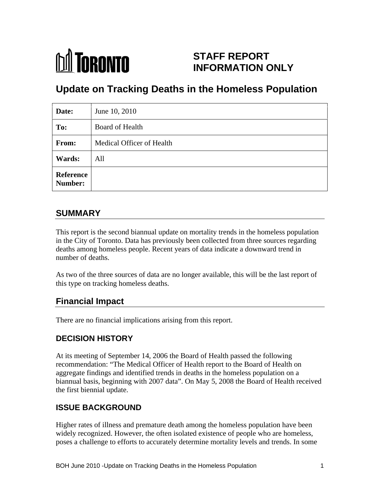

## **STAFF REPORT INFORMATION ONLY**

# **Update on Tracking Deaths in the Homeless Population**

| Date:         | June 10, 2010             |
|---------------|---------------------------|
| To:           | Board of Health           |
| From:         | Medical Officer of Health |
| <b>Wards:</b> | All                       |
| Reference     |                           |

## **SUMMARY**

This report is the second biannual update on mortality trends in the homeless population in the City of Toronto. Data has previously been collected from three sources regarding deaths among homeless people. Recent years of data indicate a downward trend in number of deaths.

As two of the three sources of data are no longer available, this will be the last report of this type on tracking homeless deaths.

## **Financial Impact**

There are no financial implications arising from this report.

#### **DECISION HISTORY**

At its meeting of September 14, 2006 the Board of Health passed the following recommendation: "The Medical Officer of Health report to the Board of Health on aggregate findings and identified trends in deaths in the homeless population on a biannual basis, beginning with 2007 data". On May 5, 2008 the Board of Health received the first biennial update.

## **ISSUE BACKGROUND**

Higher rates of illness and premature death among the homeless population have been widely recognized. However, the often isolated existence of people who are homeless, poses a challenge to efforts to accurately determine mortality levels and trends. In some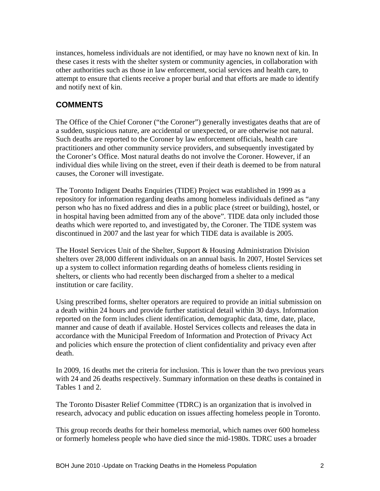instances, homeless individuals are not identified, or may have no known next of kin. In these cases it rests with the shelter system or community agencies, in collaboration with other authorities such as those in law enforcement, social services and health care, to attempt to ensure that clients receive a proper burial and that efforts are made to identify and notify next of kin.

## **COMMENTS**

The Office of the Chief Coroner ("the Coroner") generally investigates deaths that are of a sudden, suspicious nature, are accidental or unexpected, or are otherwise not natural. Such deaths are reported to the Coroner by law enforcement officials, health care practitioners and other community service providers, and subsequently investigated by the Coroner's Office. Most natural deaths do not involve the Coroner. However, if an individual dies while living on the street, even if their death is deemed to be from natural causes, the Coroner will investigate.

The Toronto Indigent Deaths Enquiries (TIDE) Project was established in 1999 as a repository for information regarding deaths among homeless individuals defined as "any person who has no fixed address and dies in a public place (street or building), hostel, or in hospital having been admitted from any of the above". TIDE data only included those deaths which were reported to, and investigated by, the Coroner. The TIDE system was discontinued in 2007 and the last year for which TIDE data is available is 2005. The Hostel Services Unit of the Shelter, Support & Housing Administration Division

shelters over 28,000 different individuals on an annual basis. In 2007, Hostel Services set up a system to collect information regarding deaths of homeless clients residing in shelters, or clients who had recently been discharged from a shelter to a medical institution or care facility.

Using prescribed forms, shelter operators are required to provide an initial submission on a death within 24 hours and provide further statistical detail within 30 days. Information reported on the form includes client identification, demographic data, time, date, place, manner and cause of death if available. Hostel Services collects and releases the data in accordance with the Municipal Freedom of Information and Protection of Privacy Act and policies which ensure the protection of client confidentiality and privacy even after death.

In 2009, 16 deaths met the criteria for inclusion. This is lower than the two previous years with 24 and 26 deaths respectively. Summary information on these deaths is contained in

Tables 1 and 2.<br>The Toronto Disaster Relief Committee (TDRC) is an organization that is involved in research, advocacy and public education on issues affecting homeless people in Toronto.

This group records deaths for their homeless memorial, which names over 600 homeless or formerly homeless people who have died since the mid-1980s. TDRC uses a broader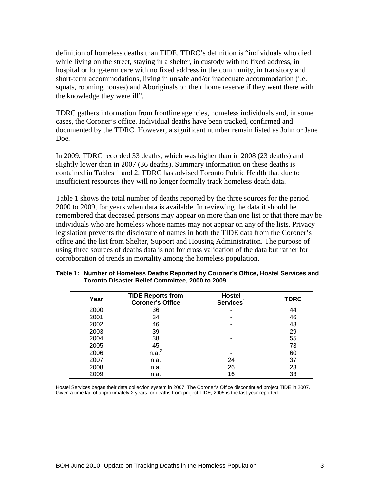definition of homeless deaths than TIDE. TDRC's definition is "individuals who died while living on the street, staying in a shelter, in custody with no fixed address, in hospital or long-term care with no fixed address in the community, in transitory and short-term accommodations, living in unsafe and/or inadequate accommodation (i.e. squats, rooming houses) and Aboriginals on their home reserve if they went there with the knowledge they were ill".

TDRC gathers information from frontline agencies, homeless individuals and, in some cases, the Coroner's office. Individual deaths have been tracked, confirmed and documented by the TDRC. However, a significant number remain listed as John or Jane Doe.

In 2009, TDRC recorded 33 deaths, which was higher than in 2008 (23 deaths) and slightly lower than in 2007 (36 deaths). Summary information on these deaths is contained in Tables 1 and 2. TDRC has advised Toronto Public Health that due to

insufficient resources they will no longer formally track homeless death data. Table 1 shows the total number of deaths reported by the three sources for the period 2000 to 2009, for years when data is available. In reviewing the data it should be remembered that deceased persons may appear on more than one list or that there may be individuals who are homeless whose names may not appear on any of the lists. Privacy legislation prevents the disclosure of names in both the TIDE data from the Coroner's office and the list from Shelter, Support and Housing Administration. The purpose of using three sources of deaths data is not for cross validation of the data but rather for corroboration of trends in mortality among the homeless population.

| Year                       | <b>TIDE Reports from</b><br><b>Coroner's Office</b> | <b>Hostel</b><br>Services <sup>1</sup> | <b>TDRC</b> |
|----------------------------|-----------------------------------------------------|----------------------------------------|-------------|
| 2000                       | $\sim$                                              |                                        | AA          |
| $\sim$<br>∠∪∪              |                                                     |                                        |             |
| 2002                       |                                                     |                                        |             |
| 2003                       |                                                     |                                        |             |
| 2004                       |                                                     |                                        |             |
| 2005                       |                                                     |                                        |             |
| <b>OOOC</b><br>$\sim$      |                                                     |                                        |             |
| 2007<br>$\sim$             |                                                     |                                        |             |
| $\sim$ $\sim$ $\sim$<br>⊷∽ |                                                     |                                        |             |
| $\sim$ $\sim$<br>ZUUJ      |                                                     |                                        |             |

**Table 1: Number of Homeless Deaths Reported by Coroner's Office, Hostel Services and Toronto Disaster Relief Committee, 2000 to 2009**

Hostel Services began their data collection system in 2007. The Coroner's Office discontinued project TIDE in 2007.<br>Given a time lag of approximately 2 years for deaths from project TIDE, 2005 is the last year reported.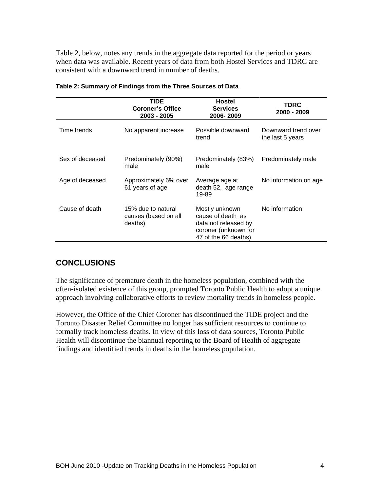Table 2, below, notes any trends in the aggregate data reported for the period or years when data was available. Recent years of data from both Hostel Services and TDRC are consistent with a downward trend in number of deaths.

|                 | <b>TIDE</b><br><b>Coroner's Office</b><br>2003 - 2005 | <b>Hostel</b><br><b>Services</b><br>2006-2009                                                               | <b>TDRC</b><br>2000 - 2009              |
|-----------------|-------------------------------------------------------|-------------------------------------------------------------------------------------------------------------|-----------------------------------------|
| Time trends     | No apparent increase                                  | Possible downward<br>trend                                                                                  | Downward trend over<br>the last 5 years |
| Sex of deceased | Predominately (90%)<br>male                           | Predominately (83%) Predominately male<br>male                                                              |                                         |
| Age of deceased | Approximately 6% over<br>61 years of age              | Average age at<br>death 52, age range<br>19-89                                                              | No information on age                   |
| Cause of death  | 15% due to natural<br>causes (based on all<br>deaths) | Mostly unknown<br>cause of death as<br>data not released by<br>coroner (unknown for<br>47 of the 66 deaths) | No information                          |

| <b>Fable 2: Summary of Findings from</b><br>n the Three Sources of Data |  |  |
|-------------------------------------------------------------------------|--|--|
|                                                                         |  |  |
|                                                                         |  |  |

#### **CONCLUSIONS**

The significance of premature death in the homeless population, combined with the often-isolated existence of this group, prompted Toronto Public Health to adopt a unique approach involving collaborative efforts to review mortality trends in homeless people. However, the Office of the Chief Coroner has discontinued the TIDE project and the

Toronto Disaster Relief Committee no longer has sufficient resources to continue to formally track homeless deaths. In view of this loss of data sources, Toronto Public Health will discontinue the biannual reporting to the Board of Health of aggregate findings and identified trends in deaths in the homeless population.